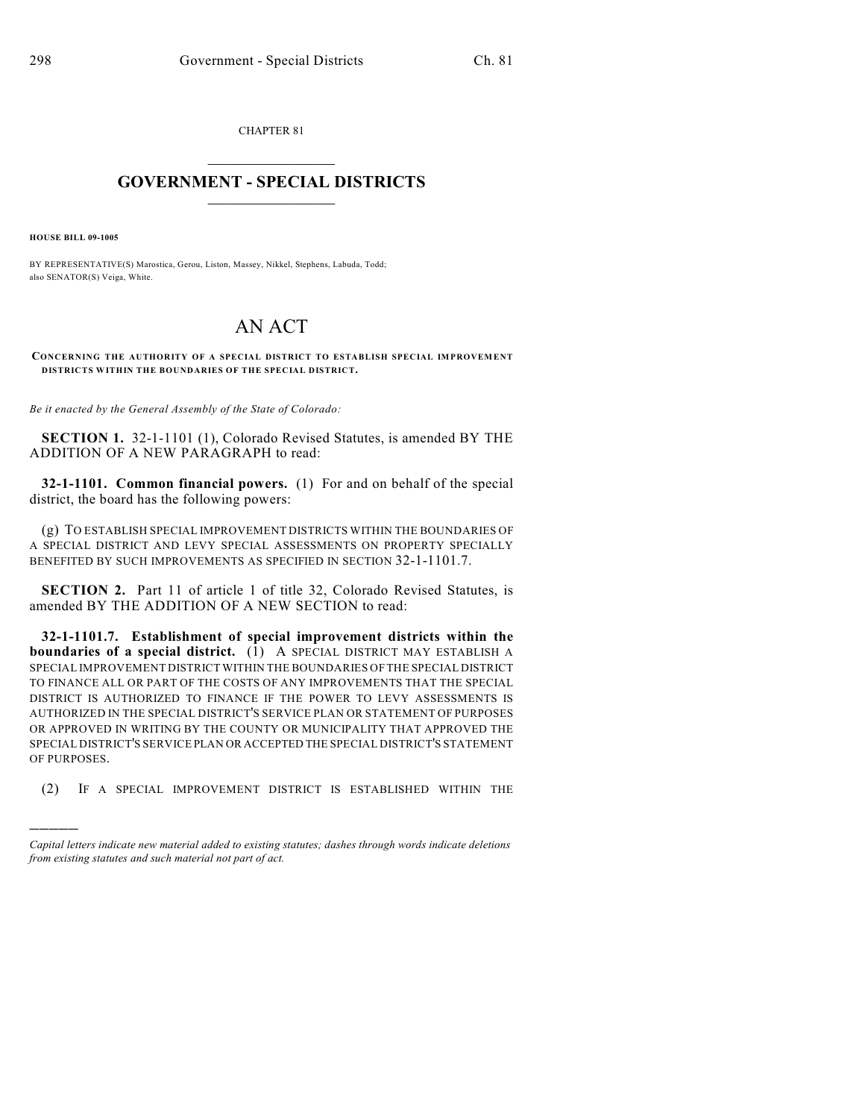CHAPTER 81

## $\overline{\phantom{a}}$  . The set of the set of the set of the set of the set of the set of the set of the set of the set of the set of the set of the set of the set of the set of the set of the set of the set of the set of the set o **GOVERNMENT - SPECIAL DISTRICTS**  $\_$   $\_$

**HOUSE BILL 09-1005**

)))))

BY REPRESENTATIVE(S) Marostica, Gerou, Liston, Massey, Nikkel, Stephens, Labuda, Todd; also SENATOR(S) Veiga, White.

## AN ACT

**CONCERNING THE AUTHORITY OF A SPECIAL DISTRICT TO ESTABLISH SPECIAL IMPROVEMENT DISTRICTS WITHIN THE BOUNDARIES OF THE SPECIAL DISTRICT.**

*Be it enacted by the General Assembly of the State of Colorado:*

**SECTION 1.** 32-1-1101 (1), Colorado Revised Statutes, is amended BY THE ADDITION OF A NEW PARAGRAPH to read:

**32-1-1101. Common financial powers.** (1) For and on behalf of the special district, the board has the following powers:

(g) TO ESTABLISH SPECIAL IMPROVEMENT DISTRICTS WITHIN THE BOUNDARIES OF A SPECIAL DISTRICT AND LEVY SPECIAL ASSESSMENTS ON PROPERTY SPECIALLY BENEFITED BY SUCH IMPROVEMENTS AS SPECIFIED IN SECTION 32-1-1101.7.

**SECTION 2.** Part 11 of article 1 of title 32, Colorado Revised Statutes, is amended BY THE ADDITION OF A NEW SECTION to read:

**32-1-1101.7. Establishment of special improvement districts within the boundaries of a special district.** (1) A SPECIAL DISTRICT MAY ESTABLISH A SPECIAL IMPROVEMENT DISTRICT WITHIN THE BOUNDARIES OF THE SPECIAL DISTRICT TO FINANCE ALL OR PART OF THE COSTS OF ANY IMPROVEMENTS THAT THE SPECIAL DISTRICT IS AUTHORIZED TO FINANCE IF THE POWER TO LEVY ASSESSMENTS IS AUTHORIZED IN THE SPECIAL DISTRICT'S SERVICE PLAN OR STATEMENT OF PURPOSES OR APPROVED IN WRITING BY THE COUNTY OR MUNICIPALITY THAT APPROVED THE SPECIAL DISTRICT'S SERVICE PLAN OR ACCEPTED THE SPECIAL DISTRICT'S STATEMENT OF PURPOSES.

(2) IF A SPECIAL IMPROVEMENT DISTRICT IS ESTABLISHED WITHIN THE

*Capital letters indicate new material added to existing statutes; dashes through words indicate deletions from existing statutes and such material not part of act.*